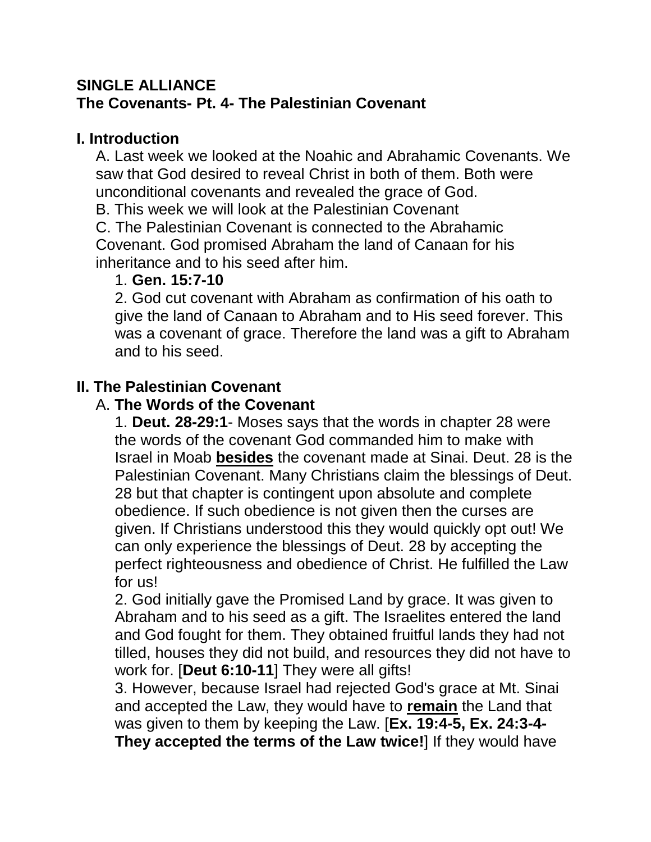### **SINGLE ALLIANCE The Covenants- Pt. 4- The Palestinian Covenant**

### **I. Introduction**

A. Last week we looked at the Noahic and Abrahamic Covenants. We saw that God desired to reveal Christ in both of them. Both were unconditional covenants and revealed the grace of God.

B. This week we will look at the Palestinian Covenant

C. The Palestinian Covenant is connected to the Abrahamic Covenant. God promised Abraham the land of Canaan for his inheritance and to his seed after him.

## 1. **Gen. 15:7-10**

2. God cut covenant with Abraham as confirmation of his oath to give the land of Canaan to Abraham and to His seed forever. This was a covenant of grace. Therefore the land was a gift to Abraham and to his seed.

# **II. The Palestinian Covenant**

## A. **The Words of the Covenant**

1. **Deut. 28-29:1**- Moses says that the words in chapter 28 were the words of the covenant God commanded him to make with Israel in Moab **besides** the covenant made at Sinai. Deut. 28 is the Palestinian Covenant. Many Christians claim the blessings of Deut. 28 but that chapter is contingent upon absolute and complete obedience. If such obedience is not given then the curses are given. If Christians understood this they would quickly opt out! We can only experience the blessings of Deut. 28 by accepting the perfect righteousness and obedience of Christ. He fulfilled the Law for us!

2. God initially gave the Promised Land by grace. It was given to Abraham and to his seed as a gift. The Israelites entered the land and God fought for them. They obtained fruitful lands they had not tilled, houses they did not build, and resources they did not have to work for. [**Deut 6:10-11**] They were all gifts!

3. However, because Israel had rejected God's grace at Mt. Sinai and accepted the Law, they would have to **remain** the Land that was given to them by keeping the Law. [**Ex. 19:4-5, Ex. 24:3-4- They accepted the terms of the Law twice!**] If they would have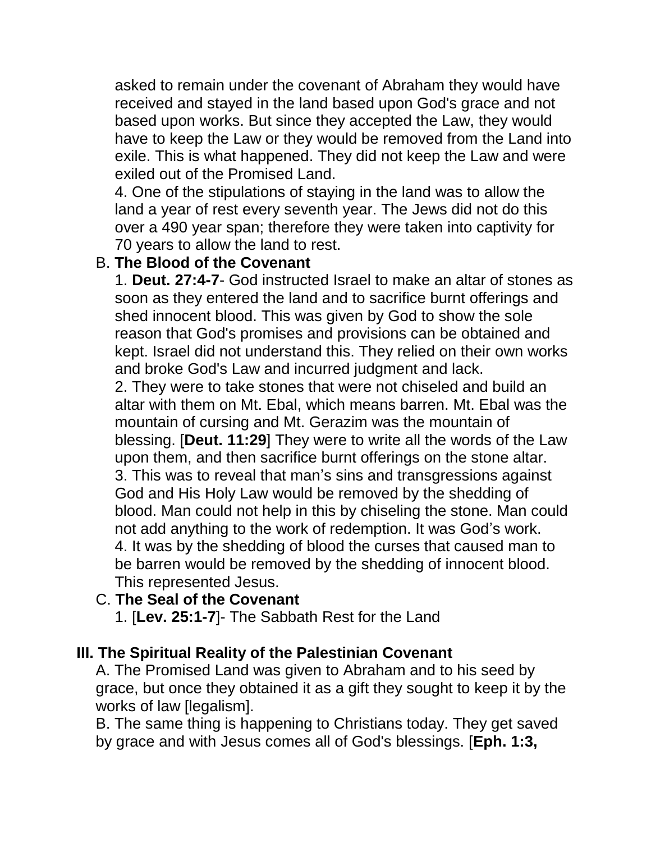asked to remain under the covenant of Abraham they would have received and stayed in the land based upon God's grace and not based upon works. But since they accepted the Law, they would have to keep the Law or they would be removed from the Land into exile. This is what happened. They did not keep the Law and were exiled out of the Promised Land.

4. One of the stipulations of staying in the land was to allow the land a year of rest every seventh year. The Jews did not do this over a 490 year span; therefore they were taken into captivity for 70 years to allow the land to rest.

### B. **The Blood of the Covenant**

1. **Deut. 27:4-7**- God instructed Israel to make an altar of stones as soon as they entered the land and to sacrifice burnt offerings and shed innocent blood. This was given by God to show the sole reason that God's promises and provisions can be obtained and kept. Israel did not understand this. They relied on their own works and broke God's Law and incurred judgment and lack.

2. They were to take stones that were not chiseled and build an altar with them on Mt. Ebal, which means barren. Mt. Ebal was the mountain of cursing and Mt. Gerazim was the mountain of blessing. [**Deut. 11:29**] They were to write all the words of the Law upon them, and then sacrifice burnt offerings on the stone altar. 3. This was to reveal that man's sins and transgressions against God and His Holy Law would be removed by the shedding of blood. Man could not help in this by chiseling the stone. Man could not add anything to the work of redemption. It was God's work. 4. It was by the shedding of blood the curses that caused man to be barren would be removed by the shedding of innocent blood. This represented Jesus.

### C. **The Seal of the Covenant**

1. [**Lev. 25:1-7**]- The Sabbath Rest for the Land

### **III. The Spiritual Reality of the Palestinian Covenant**

A. The Promised Land was given to Abraham and to his seed by grace, but once they obtained it as a gift they sought to keep it by the works of law [legalism].

B. The same thing is happening to Christians today. They get saved by grace and with Jesus comes all of God's blessings. [**Eph. 1:3,**